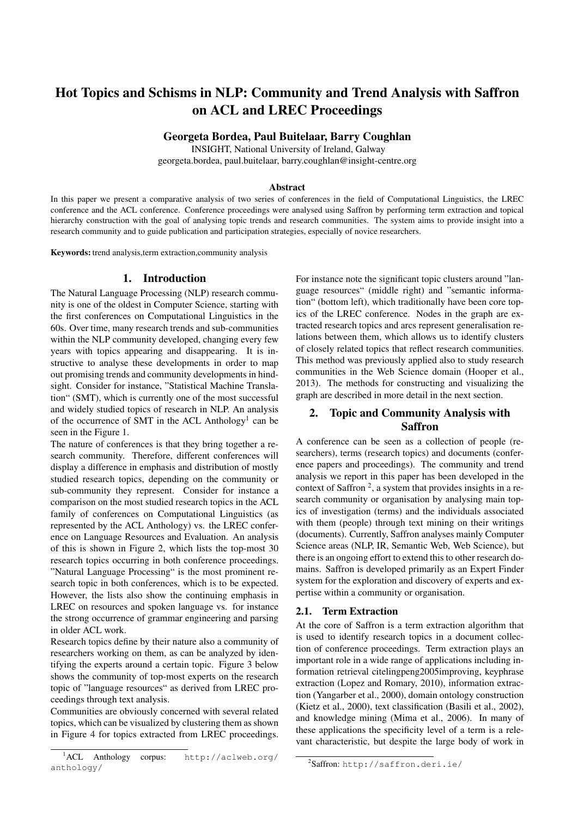# Hot Topics and Schisms in NLP: Community and Trend Analysis with Saffron on ACL and LREC Proceedings

Georgeta Bordea, Paul Buitelaar, Barry Coughlan

INSIGHT, National University of Ireland, Galway

georgeta.bordea, paul.buitelaar, barry.coughlan@insight-centre.org

#### Abstract

In this paper we present a comparative analysis of two series of conferences in the field of Computational Linguistics, the LREC conference and the ACL conference. Conference proceedings were analysed using Saffron by performing term extraction and topical hierarchy construction with the goal of analysing topic trends and research communities. The system aims to provide insight into a research community and to guide publication and participation strategies, especially of novice researchers.

Keywords: trend analysis,term extraction,community analysis

#### 1. Introduction

The Natural Language Processing (NLP) research community is one of the oldest in Computer Science, starting with the first conferences on Computational Linguistics in the 60s. Over time, many research trends and sub-communities within the NLP community developed, changing every few years with topics appearing and disappearing. It is instructive to analyse these developments in order to map out promising trends and community developments in hindsight. Consider for instance, "Statistical Machine Translation" (SMT), which is currently one of the most successful and widely studied topics of research in NLP. An analysis of the occurrence of SMT in the ACL Anthology<sup>1</sup> can be seen in the Figure 1.

The nature of conferences is that they bring together a research community. Therefore, different conferences will display a difference in emphasis and distribution of mostly studied research topics, depending on the community or sub-community they represent. Consider for instance a comparison on the most studied research topics in the ACL family of conferences on Computational Linguistics (as represented by the ACL Anthology) vs. the LREC conference on Language Resources and Evaluation. An analysis of this is shown in Figure 2, which lists the top-most 30 research topics occurring in both conference proceedings. "Natural Language Processing" is the most prominent research topic in both conferences, which is to be expected. However, the lists also show the continuing emphasis in LREC on resources and spoken language vs. for instance the strong occurrence of grammar engineering and parsing in older ACL work.

Research topics define by their nature also a community of researchers working on them, as can be analyzed by identifying the experts around a certain topic. Figure 3 below shows the community of top-most experts on the research topic of "language resources" as derived from LREC proceedings through text analysis.

Communities are obviously concerned with several related topics, which can be visualized by clustering them as shown in Figure 4 for topics extracted from LREC proceedings.

For instance note the significant topic clusters around "language resources" (middle right) and "semantic information" (bottom left), which traditionally have been core topics of the LREC conference. Nodes in the graph are extracted research topics and arcs represent generalisation relations between them, which allows us to identify clusters of closely related topics that reflect research communities. This method was previously applied also to study research communities in the Web Science domain (Hooper et al., 2013). The methods for constructing and visualizing the graph are described in more detail in the next section.

# 2. Topic and Community Analysis with Saffron

A conference can be seen as a collection of people (researchers), terms (research topics) and documents (conference papers and proceedings). The community and trend analysis we report in this paper has been developed in the context of Saffron<sup>2</sup>, a system that provides insights in a research community or organisation by analysing main topics of investigation (terms) and the individuals associated with them (people) through text mining on their writings (documents). Currently, Saffron analyses mainly Computer Science areas (NLP, IR, Semantic Web, Web Science), but there is an ongoing effort to extend this to other research domains. Saffron is developed primarily as an Expert Finder system for the exploration and discovery of experts and expertise within a community or organisation.

#### 2.1. Term Extraction

At the core of Saffron is a term extraction algorithm that is used to identify research topics in a document collection of conference proceedings. Term extraction plays an important role in a wide range of applications including information retrieval citelingpeng2005improving, keyphrase extraction (Lopez and Romary, 2010), information extraction (Yangarber et al., 2000), domain ontology construction (Kietz et al., 2000), text classification (Basili et al., 2002), and knowledge mining (Mima et al., 2006). In many of these applications the specificity level of a term is a relevant characteristic, but despite the large body of work in

<sup>1</sup>ACL Anthology corpus: http://aclweb.org/ anthology/

<sup>2</sup> Saffron: http://saffron.deri.ie/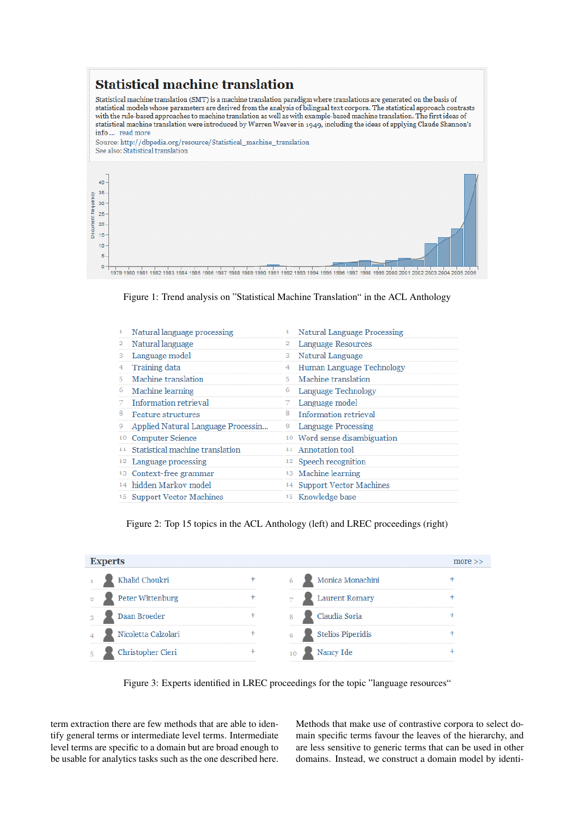

1979 1980 1981 1982 1983 1984 1985 1986 1987 1988 1989 1990 1991 1992 1993 1994 1995 1996 1997 1998 1999 2000 2001 2002 2003 2004 2005

Figure 1: Trend analysis on "Statistical Machine Translation" in the ACL Anthology

|    | Natural language processing                   |    | <b>Natural Language Processing</b>      |
|----|-----------------------------------------------|----|-----------------------------------------|
|    | Natural language                              |    | Language Resources                      |
| 3. | Language model                                | 3  | Natural Language                        |
|    | Training data                                 |    | Human Language Technology               |
| 5. | Machine translation                           | 5. | Machine translation                     |
| 6  | Machine learning                              | 6  | Language Technology                     |
| 7. | Information retrieval                         | 7. | Language model                          |
| 8  | Feature structures                            | 8  | Information retrieval                   |
| 9  | Applied Natural Language Processin            | 9. | <b>Language Processing</b>              |
|    | <sup>10</sup> Computer Science                |    | <sup>10</sup> Word sense disambiguation |
|    | <sup>11</sup> Statistical machine translation |    | 11 Annotation tool                      |
|    | <sup>12</sup> Language processing             |    | <sup>12</sup> Speech recognition        |
|    | <sup>13</sup> Context-free grammar            |    | <sup>13</sup> Machine learning          |
|    | <sup>14</sup> hidden Markov model             |    | <sup>14</sup> Support Vector Machines   |
|    | <sup>15</sup> Support Vector Machines         |    | <sup>15</sup> Knowledge base            |

Figure 2: Top 15 topics in the ACL Anthology (left) and LREC proceedings (right)

| <b>Experts</b><br>more $\gt$ |  |                   |                       |  |  |  |
|------------------------------|--|-------------------|-----------------------|--|--|--|
| Khalid Choukri               |  |                   | Monica Monachini      |  |  |  |
| Peter Wittenburg             |  |                   | <b>Laurent Romary</b> |  |  |  |
| Daan Broeder                 |  | Claudia Soria     |                       |  |  |  |
| Nicoletta Calzolari          |  | Stelios Piperidis |                       |  |  |  |
| Christopher Cieri            |  | Nancy Ide<br>10   |                       |  |  |  |

Figure 3: Experts identified in LREC proceedings for the topic "language resources"

term extraction there are few methods that are able to identify general terms or intermediate level terms. Intermediate level terms are specific to a domain but are broad enough to be usable for analytics tasks such as the one described here.

> Methods that make use of contrastive corpora to select domain specific terms favour the leaves of the hierarchy, and are less sensitive to generic terms that can be used in other domains. Instead, we construct a domain model by identi-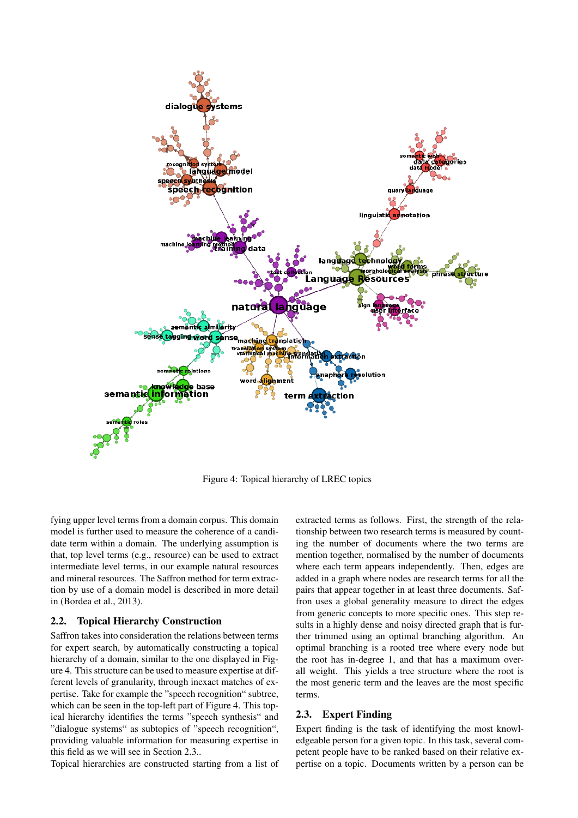

Figure 4: Topical hierarchy of LREC topics

fying upper level terms from a domain corpus. This domain model is further used to measure the coherence of a candidate term within a domain. The underlying assumption is that, top level terms (e.g., resource) can be used to extract intermediate level terms, in our example natural resources and mineral resources. The Saffron method for term extraction by use of a domain model is described in more detail in (Bordea et al., 2013).

### 2.2. Topical Hierarchy Construction

Saffron takes into consideration the relations between terms for expert search, by automatically constructing a topical hierarchy of a domain, similar to the one displayed in Figure 4. This structure can be used to measure expertise at different levels of granularity, through inexact matches of expertise. Take for example the "speech recognition" subtree, which can be seen in the top-left part of Figure 4. This topical hierarchy identifies the terms "speech synthesis" and "dialogue systems" as subtopics of "speech recognition", providing valuable information for measuring expertise in this field as we will see in Section 2.3..

Topical hierarchies are constructed starting from a list of

extracted terms as follows. First, the strength of the relationship between two research terms is measured by counting the number of documents where the two terms are mention together, normalised by the number of documents where each term appears independently. Then, edges are added in a graph where nodes are research terms for all the pairs that appear together in at least three documents. Saffron uses a global generality measure to direct the edges from generic concepts to more specific ones. This step results in a highly dense and noisy directed graph that is further trimmed using an optimal branching algorithm. An optimal branching is a rooted tree where every node but the root has in-degree 1, and that has a maximum overall weight. This yields a tree structure where the root is the most generic term and the leaves are the most specific terms.

#### 2.3. Expert Finding

Expert finding is the task of identifying the most knowledgeable person for a given topic. In this task, several competent people have to be ranked based on their relative expertise on a topic. Documents written by a person can be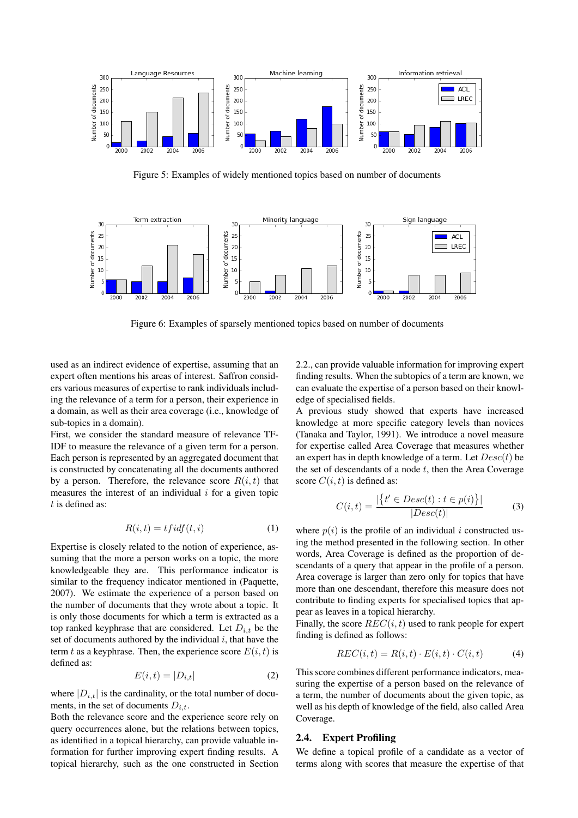

Figure 5: Examples of widely mentioned topics based on number of documents



Figure 6: Examples of sparsely mentioned topics based on number of documents

used as an indirect evidence of expertise, assuming that an expert often mentions his areas of interest. Saffron considers various measures of expertise to rank individuals including the relevance of a term for a person, their experience in a domain, as well as their area coverage (i.e., knowledge of sub-topics in a domain).

First, we consider the standard measure of relevance TF-IDF to measure the relevance of a given term for a person. Each person is represented by an aggregated document that is constructed by concatenating all the documents authored by a person. Therefore, the relevance score  $R(i, t)$  that measures the interest of an individual  $i$  for a given topic  $t$  is defined as:

$$
R(i,t) = t f i df(t,i)
$$
 (1)

Expertise is closely related to the notion of experience, assuming that the more a person works on a topic, the more knowledgeable they are. This performance indicator is similar to the frequency indicator mentioned in (Paquette, 2007). We estimate the experience of a person based on the number of documents that they wrote about a topic. It is only those documents for which a term is extracted as a top ranked keyphrase that are considered. Let  $D_{i,t}$  be the set of documents authored by the individual  $i$ , that have the term t as a keyphrase. Then, the experience score  $E(i, t)$  is defined as:

$$
E(i,t) = |D_{i,t}| \tag{2}
$$

where  $|D_{i,t}|$  is the cardinality, or the total number of documents, in the set of documents  $D_{i,t}$ .

Both the relevance score and the experience score rely on query occurrences alone, but the relations between topics, as identified in a topical hierarchy, can provide valuable information for further improving expert finding results. A topical hierarchy, such as the one constructed in Section 2.2., can provide valuable information for improving expert finding results. When the subtopics of a term are known, we can evaluate the expertise of a person based on their knowledge of specialised fields.

A previous study showed that experts have increased knowledge at more specific category levels than novices (Tanaka and Taylor, 1991). We introduce a novel measure for expertise called Area Coverage that measures whether an expert has in depth knowledge of a term. Let  $Desc(t)$  be the set of descendants of a node  $t$ , then the Area Coverage score  $C(i, t)$  is defined as:

$$
C(i,t) = \frac{|\{t' \in Desc(t) : t \in p(i)\}|}{|Desc(t)|}
$$
(3)

where  $p(i)$  is the profile of an individual i constructed using the method presented in the following section. In other words, Area Coverage is defined as the proportion of descendants of a query that appear in the profile of a person. Area coverage is larger than zero only for topics that have more than one descendant, therefore this measure does not contribute to finding experts for specialised topics that appear as leaves in a topical hierarchy.

Finally, the score  $REC(i, t)$  used to rank people for expert finding is defined as follows:

$$
REC(i, t) = R(i, t) \cdot E(i, t) \cdot C(i, t) \tag{4}
$$

This score combines different performance indicators, measuring the expertise of a person based on the relevance of a term, the number of documents about the given topic, as well as his depth of knowledge of the field, also called Area Coverage.

#### 2.4. Expert Profiling

We define a topical profile of a candidate as a vector of terms along with scores that measure the expertise of that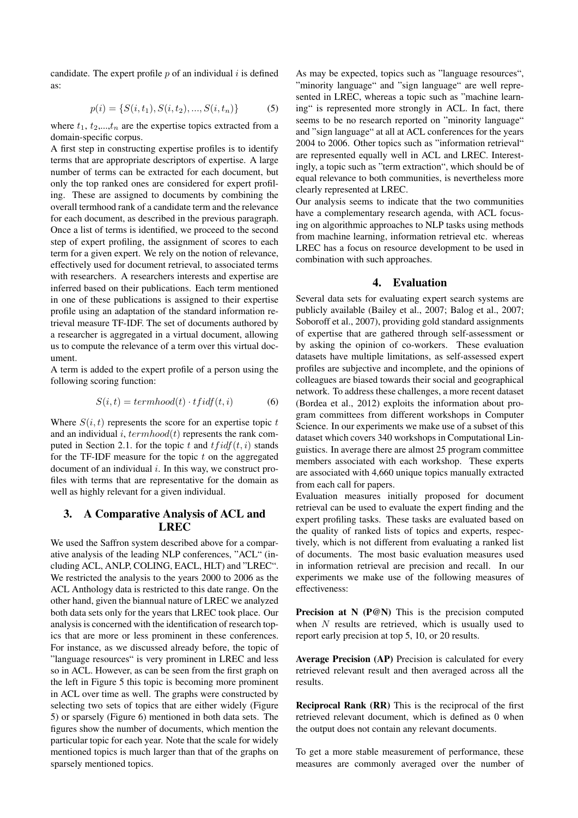candidate. The expert profile  $p$  of an individual  $i$  is defined as:

$$
p(i) = \{S(i, t_1), S(i, t_2), ..., S(i, t_n)\}
$$
 (5)

where  $t_1$ ,  $t_2$ ,..., $t_n$  are the expertise topics extracted from a domain-specific corpus.

A first step in constructing expertise profiles is to identify terms that are appropriate descriptors of expertise. A large number of terms can be extracted for each document, but only the top ranked ones are considered for expert profiling. These are assigned to documents by combining the overall termhood rank of a candidate term and the relevance for each document, as described in the previous paragraph. Once a list of terms is identified, we proceed to the second step of expert profiling, the assignment of scores to each term for a given expert. We rely on the notion of relevance, effectively used for document retrieval, to associated terms with researchers. A researchers interests and expertise are inferred based on their publications. Each term mentioned in one of these publications is assigned to their expertise profile using an adaptation of the standard information retrieval measure TF-IDF. The set of documents authored by a researcher is aggregated in a virtual document, allowing us to compute the relevance of a term over this virtual document.

A term is added to the expert profile of a person using the following scoring function:

$$
S(i,t) = termhood(t) \cdot tfidf(t,i)
$$
 (6)

Where  $S(i, t)$  represents the score for an expertise topic t and an individual i,  $termhood(t)$  represents the rank computed in Section 2.1. for the topic t and  $tfidf(t, i)$  stands for the TF-IDF measure for the topic  $t$  on the aggregated document of an individual  $i$ . In this way, we construct profiles with terms that are representative for the domain as well as highly relevant for a given individual.

## 3. A Comparative Analysis of ACL and LREC

We used the Saffron system described above for a comparative analysis of the leading NLP conferences, "ACL" (including ACL, ANLP, COLING, EACL, HLT) and "LREC". We restricted the analysis to the years 2000 to 2006 as the ACL Anthology data is restricted to this date range. On the other hand, given the biannual nature of LREC we analyzed both data sets only for the years that LREC took place. Our analysis is concerned with the identification of research topics that are more or less prominent in these conferences. For instance, as we discussed already before, the topic of "language resources" is very prominent in LREC and less so in ACL. However, as can be seen from the first graph on the left in Figure 5 this topic is becoming more prominent in ACL over time as well. The graphs were constructed by selecting two sets of topics that are either widely (Figure 5) or sparsely (Figure 6) mentioned in both data sets. The figures show the number of documents, which mention the particular topic for each year. Note that the scale for widely mentioned topics is much larger than that of the graphs on sparsely mentioned topics.

As may be expected, topics such as "language resources", "minority language" and "sign language" are well represented in LREC, whereas a topic such as "machine learning" is represented more strongly in ACL. In fact, there seems to be no research reported on "minority language" and "sign language" at all at ACL conferences for the years 2004 to 2006. Other topics such as "information retrieval" are represented equally well in ACL and LREC. Interestingly, a topic such as "term extraction", which should be of equal relevance to both communities, is nevertheless more clearly represented at LREC.

Our analysis seems to indicate that the two communities have a complementary research agenda, with ACL focusing on algorithmic approaches to NLP tasks using methods from machine learning, information retrieval etc. whereas LREC has a focus on resource development to be used in combination with such approaches.

#### 4. Evaluation

Several data sets for evaluating expert search systems are publicly available (Bailey et al., 2007; Balog et al., 2007; Soboroff et al., 2007), providing gold standard assignments of expertise that are gathered through self-assessment or by asking the opinion of co-workers. These evaluation datasets have multiple limitations, as self-assessed expert profiles are subjective and incomplete, and the opinions of colleagues are biased towards their social and geographical network. To address these challenges, a more recent dataset (Bordea et al., 2012) exploits the information about program committees from different workshops in Computer Science. In our experiments we make use of a subset of this dataset which covers 340 workshops in Computational Linguistics. In average there are almost 25 program committee members associated with each workshop. These experts are associated with 4,660 unique topics manually extracted from each call for papers.

Evaluation measures initially proposed for document retrieval can be used to evaluate the expert finding and the expert profiling tasks. These tasks are evaluated based on the quality of ranked lists of topics and experts, respectively, which is not different from evaluating a ranked list of documents. The most basic evaluation measures used in information retrieval are precision and recall. In our experiments we make use of the following measures of effectiveness:

Precision at N (P@N) This is the precision computed when N results are retrieved, which is usually used to report early precision at top 5, 10, or 20 results.

Average Precision (AP) Precision is calculated for every retrieved relevant result and then averaged across all the results.

Reciprocal Rank (RR) This is the reciprocal of the first retrieved relevant document, which is defined as 0 when the output does not contain any relevant documents.

To get a more stable measurement of performance, these measures are commonly averaged over the number of